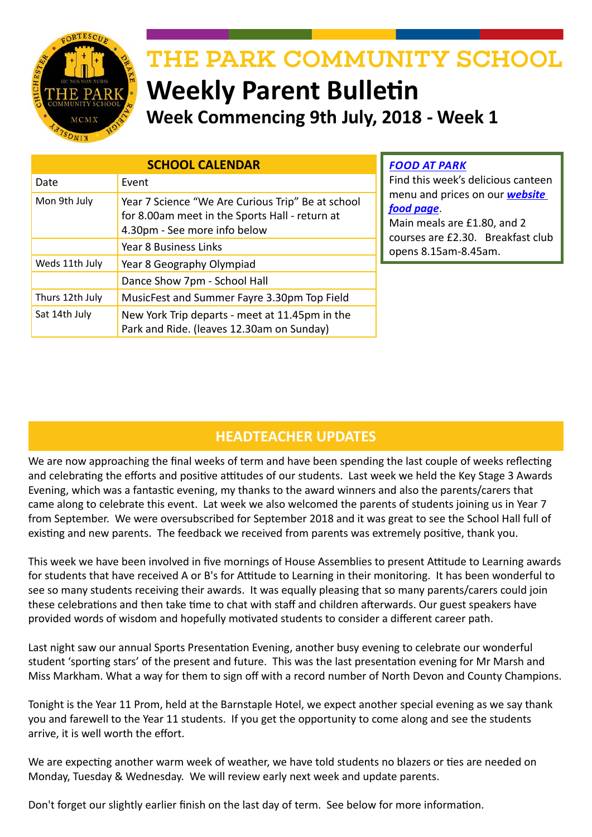

# THE PARK COMMUNITY SCHOOL **Weekly Parent Bulletin**

**Week Commencing 9th July, 2018 - Week 1**

| <b>SCHOOL CALENDAR</b> |                                                                                                                                     |
|------------------------|-------------------------------------------------------------------------------------------------------------------------------------|
| Date                   | Event                                                                                                                               |
| Mon 9th July           | Year 7 Science "We Are Curious Trip" Be at school<br>for 8.00am meet in the Sports Hall - return at<br>4.30pm - See more info below |
|                        | Year 8 Business Links                                                                                                               |
| Weds 11th July         | Year 8 Geography Olympiad                                                                                                           |
|                        | Dance Show 7pm - School Hall                                                                                                        |
| Thurs 12th July        | MusicFest and Summer Fayre 3.30pm Top Field                                                                                         |
| Sat 14th July          | New York Trip departs - meet at 11.45pm in the<br>Park and Ride. (leaves 12.30am on Sunday)                                         |

#### *FOOD AT PARK*

Find this week's delicious canteen menu and prices on our *website food page*.

Main meals are £1.80, and 2 courses are £2.30. Breakfast club opens 8.15am-8.45am.

## **HEADTEACHER UPDATES**

We are now approaching the final weeks of term and have been spending the last couple of weeks reflecting and celebrating the efforts and positive attitudes of our students. Last week we held the Key Stage 3 Awards Evening, which was a fantastic evening, my thanks to the award winners and also the parents/carers that came along to celebrate this event. Lat week we also welcomed the parents of students joining us in Year 7 from September. We were oversubscribed for September 2018 and it was great to see the School Hall full of existing and new parents. The feedback we received from parents was extremely positive, thank you.

This week we have been involved in five mornings of House Assemblies to present Attitude to Learning awards for students that have received A or B's for Attitude to Learning in their monitoring. It has been wonderful to see so many students receiving their awards. It was equally pleasing that so many parents/carers could join these celebrations and then take time to chat with staff and children afterwards. Our guest speakers have provided words of wisdom and hopefully motivated students to consider a different career path.

Last night saw our annual Sports Presentation Evening, another busy evening to celebrate our wonderful student 'sporting stars' of the present and future. This was the last presentation evening for Mr Marsh and Miss Markham. What a way for them to sign off with a record number of North Devon and County Champions.

Tonight is the Year 11 Prom, held at the Barnstaple Hotel, we expect another special evening as we say thank you and farewell to the Year 11 students. If you get the opportunity to come along and see the students arrive, it is well worth the effort.

We are expecting another warm week of weather, we have told students no blazers or ties are needed on Monday, Tuesday & Wednesday. We will review early next week and update parents.

Don't forget our slightly earlier finish on the last day of term. See below for more information.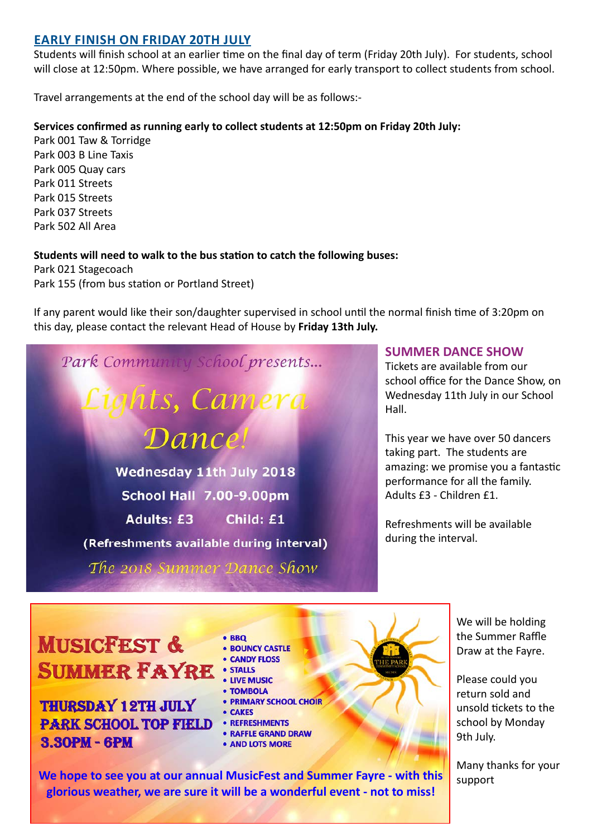#### **EARLY FINISH ON FRIDAY 20TH JULY**

Students will finish school at an earlier time on the final day of term (Friday 20th July). For students, school will close at 12:50pm. Where possible, we have arranged for early transport to collect students from school.

Travel arrangements at the end of the school day will be as follows:-

#### **Services confirmed as running early to collect students at 12:50pm on Friday 20th July:**

Park 001 Taw & Torridge Park 003 B Line Taxis Park 005 Quay cars Park 011 Streets Park 015 Streets Park 037 Streets Park 502 All Area

#### **Students will need to walk to the bus station to catch the following buses:**

Park 021 Stagecoach Park 155 (from bus station or Portland Street)

If any parent would like their son/daughter supervised in school until the normal finish time of 3:20pm on this day, please contact the relevant Head of House by **Friday 13th July.**

Dance. Wednesday 11th July 2018 **School Hall 7.00-9.00pm Adults: £3** Child: £1 (Refreshments available during interval) The 2018 Summer Dance Show

Park Community School presents...

**i**ghts, Camera

#### **SUMMER DANCE SHOW**

Tickets are available from our school office for the Dance Show, on Wednesday 11th July in our School Hall.

This year we have over 50 dancers taking part. The students are amazing: we promise you a fantastic performance for all the family. Adults £3 - Children £1.

Refreshments will be available during the interval.

## **MUSICFEST & SUMMER FAYRE : STALLS**

**THURSDAY 12TH JULY PARK SCHOOL TOP FIELD 8.30РМ - 6РМ** 

 $.$ RRO **• BOUNCY CASTLE • CANDY FLOSS • LIVE MUSIC** · TOMBOLA • PRIMARY SCHOOL CHOIR **• CAKES** • REFRESHMENTS **• RAFFLE GRAND DRAW** · AND LOTS MORE

We will be holding the Summer Raffle Draw at the Fayre.

Please could you return sold and unsold tickets to the school by Monday 9th July.

Many thanks for your support

**We hope to see you at our annual MusicFest and Summer Fayre - with this glorious weather, we are sure it will be a wonderful event - not to miss!**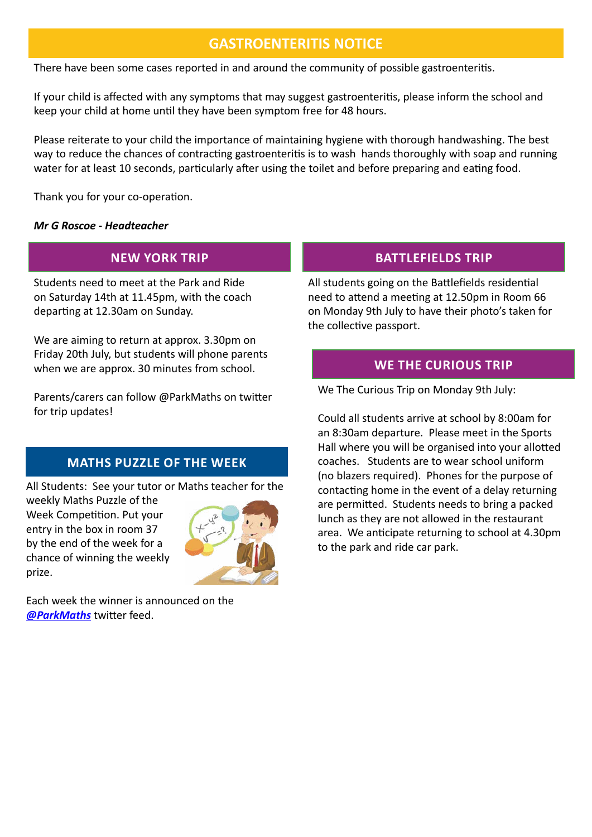## **GASTROENTERITIS NOTICE**

There have been some cases reported in and around the community of possible gastroenteritis.

If your child is affected with any symptoms that may suggest gastroenteritis, please inform the school and keep your child at home until they have been symptom free for 48 hours.

Please reiterate to your child the importance of maintaining hygiene with thorough handwashing. The best way to reduce the chances of contracting gastroenteritis is to wash hands thoroughly with soap and running water for at least 10 seconds, particularly after using the toilet and before preparing and eating food.

Thank you for your co-operation.

#### *Mr G Roscoe - Headteacher*

### **NEW YORK TRIP**

Students need to meet at the Park and Ride on Saturday 14th at 11.45pm, with the coach departing at 12.30am on Sunday.

We are aiming to return at approx. 3.30pm on Friday 20th July, but students will phone parents when we are approx. 30 minutes from school.

Parents/carers can follow @ParkMaths on twitter for trip updates!

## **MATHS PUZZLE OF THE WEEK**

All Students: See your tutor or Maths teacher for the

weekly Maths Puzzle of the Week Competition. Put your entry in the box in room 37 by the end of the week for a chance of winning the weekly prize.



Each week the winner is announced on the *[@ParkMaths](https://twitter.com/ParkMaths)* twitter feed.

## **BATTLEFIELDS TRIP**

All students going on the Battlefields residential need to attend a meeting at 12.50pm in Room 66 on Monday 9th July to have their photo's taken for the collective passport.

### **WE THE CURIOUS TRIP**

We The Curious Trip on Monday 9th July:

Could all students arrive at school by 8:00am for an 8:30am departure. Please meet in the Sports Hall where you will be organised into your allotted coaches. Students are to wear school uniform (no blazers required). Phones for the purpose of contacting home in the event of a delay returning are permitted. Students needs to bring a packed lunch as they are not allowed in the restaurant area. We anticipate returning to school at 4.30pm to the park and ride car park.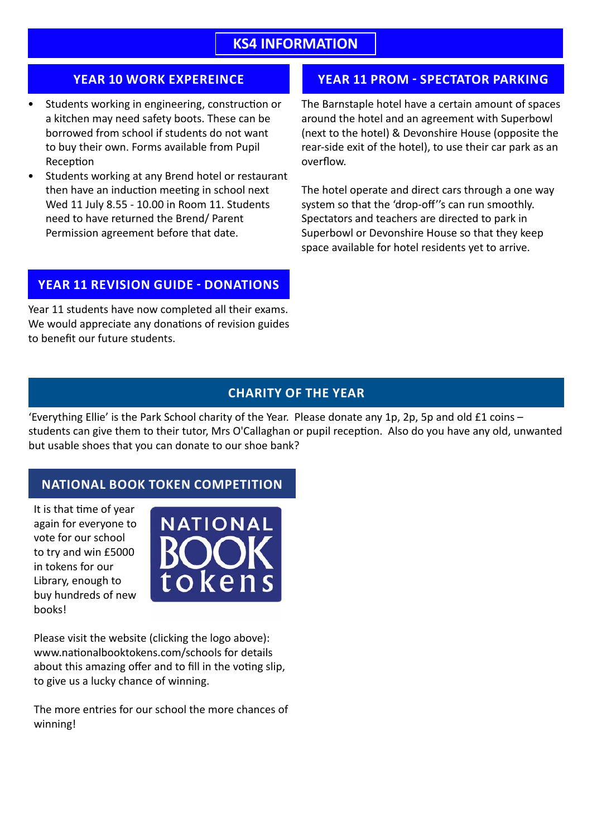## **KS4 INFORMATION**

#### **YEAR 10 WORK EXPEREINCE**

- Students working in engineering, construction or a kitchen may need safety boots. These can be borrowed from school if students do not want to buy their own. Forms available from Pupil Reception
- Students working at any Brend hotel or restaurant then have an induction meeting in school next Wed 11 July 8.55 - 10.00 in Room 11. Students need to have returned the Brend/ Parent Permission agreement before that date.

#### **YEAR 11 REVISION GUIDE - DONATIONS**

Year 11 students have now completed all their exams. We would appreciate any donations of revision guides to benefit our future students.

### **YEAR 11 PROM - SPECTATOR PARKING**

The Barnstaple hotel have a certain amount of spaces around the hotel and an agreement with Superbowl (next to the hotel) & Devonshire House (opposite the rear-side exit of the hotel), to use their car park as an overflow.

The hotel operate and direct cars through a one way system so that the 'drop-off''s can run smoothly. Spectators and teachers are directed to park in Superbowl or Devonshire House so that they keep space available for hotel residents yet to arrive.

#### **CHARITY OF THE YEAR**

'Everything Ellie' is the Park School charity of the Year. Please donate any 1p, 2p, 5p and old £1 coins – students can give them to their tutor, Mrs O'Callaghan or pupil reception. Also do you have any old, unwanted but usable shoes that you can donate to our shoe bank?

## **NATIONAL BOOK TOKEN COMPETITION**

It is that time of year again for everyone to vote for our school to try and win £5000 in tokens for our Library, enough to buy hundreds of new books!



Please visit the website (clicking the logo above): www.nationalbooktokens.com/schools for details about this amazing offer and to fill in the voting slip, to give us a lucky chance of winning.

The more entries for our school the more chances of winning!